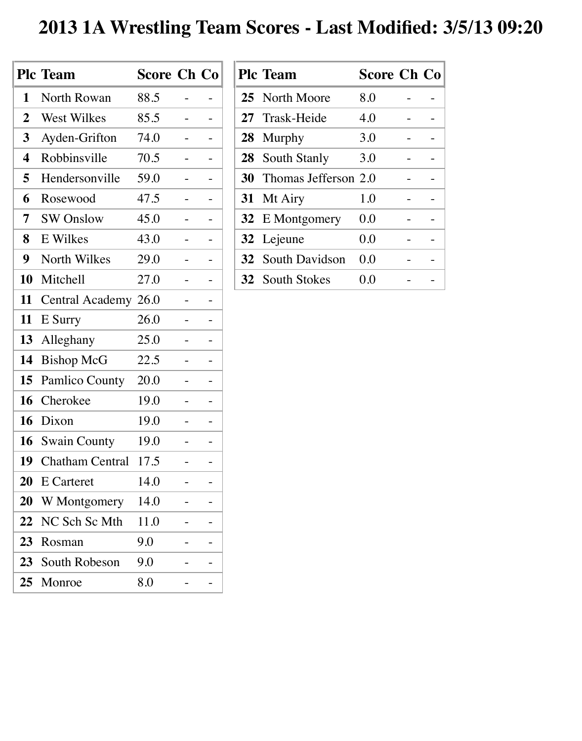## **2013 1A Wrestling Team Scores - Last Modified: 3/5/13 09:20**

|                  | <b>Plc Team</b>        | <b>Score Ch Co</b> |  |
|------------------|------------------------|--------------------|--|
| 1                | North Rowan            | 88.5               |  |
| $\boldsymbol{2}$ | <b>West Wilkes</b>     | 85.5               |  |
| 3                | Ayden-Grifton          | 74.0               |  |
| 4                | Robbinsville           | 70.5               |  |
| 5                | Hendersonville         | 59.0               |  |
| 6                | Rosewood               | 47.5               |  |
| 7                | <b>SW Onslow</b>       | 45.0               |  |
| 8                | E Wilkes               | 43.0               |  |
| 9                | North Wilkes           | 29.0               |  |
| 10               | Mitchell               | 27.0               |  |
| 11               | Central Academy 26.0   |                    |  |
| 11               | E Surry                | 26.0               |  |
| 13               | Alleghany              | 25.0               |  |
| 14               | <b>Bishop McG</b>      | 22.5               |  |
| 15               | <b>Pamlico County</b>  | 20.0               |  |
| 16               | Cherokee               | 19.0               |  |
| 16               | Dixon                  | 19.0               |  |
| 16               | <b>Swain County</b>    | 19.0               |  |
| 19               | <b>Chatham Central</b> | 17.5               |  |
| 20               | E Carteret             | 14.0               |  |
| 20               | W Montgomery           | 14.0               |  |
| 22               | NC Sch Sc Mth          | 11.0               |  |
| 23               | Rosman                 | 9.0                |  |
| 23               | South Robeson          | 9.0                |  |
| 25               | Monroe                 | 8.0                |  |

| <b>Plc Team</b>                | <b>Score Ch Co</b> |  |
|--------------------------------|--------------------|--|
| 25 North Moore                 | 8.0                |  |
| 27 Trask-Heide                 | 4.0                |  |
| 28 Murphy                      | 3.0                |  |
| 28 South Stanly                | 3.0                |  |
| <b>30</b> Thomas Jefferson 2.0 |                    |  |
| 31 Mt Airy                     | 1.0                |  |
| 32 E Montgomery                | 0.0                |  |
| 32 Lejeune                     | 0.0                |  |
| <b>32</b> South Davidson       | 0.0                |  |
| <b>32</b> South Stokes         | 0.0                |  |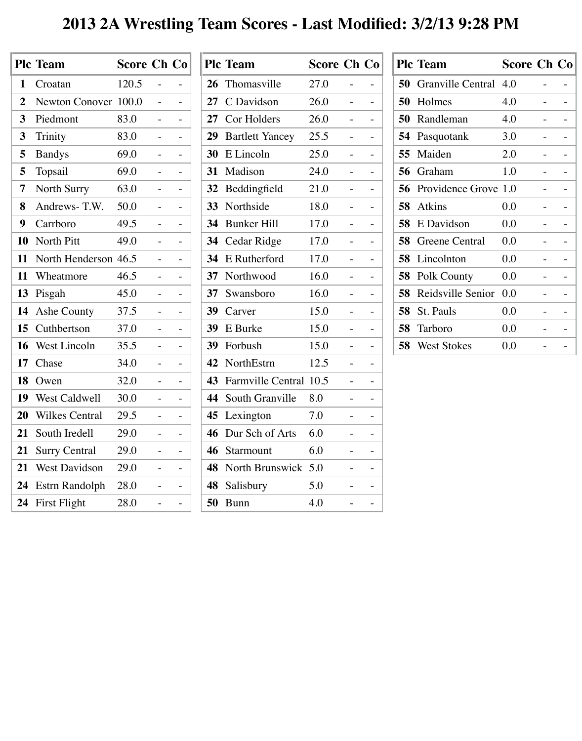## **2013 2A Wrestling Team Scores - Last Modified: 3/2/13 9:28 PM**

|                | <b>Plc Team</b>       | <b>Score Ch Co</b> |    |    |
|----------------|-----------------------|--------------------|----|----|
| 1              | Croatan               | 120.5              |    |    |
| $\overline{2}$ | Newton Conover 100.0  |                    |    |    |
| 3              | Piedmont              | 83.0               |    |    |
| 3              | Trinity               | 83.0               |    |    |
| 5              | <b>Bandys</b>         | 69.0               | Ξ. | Ξ. |
| 5              | Topsail               | 69.0               |    |    |
| 7              | North Surry           | 63.0               |    |    |
| 8              | Andrews-T.W.          | 50.0               |    |    |
| 9              | Carrboro              | 49.5               |    |    |
| 10             | North Pitt            | 49.0               |    |    |
| 11             | North Henderson       | 46.5               |    |    |
| 11             | Wheatmore             | 46.5               |    |    |
| 13             | Pisgah                | 45.0               |    |    |
| 14             | Ashe County           | 37.5               |    |    |
| 15             | Cuthbertson           | 37.0               |    |    |
| 16             | <b>West Lincoln</b>   | 35.5               |    |    |
| 17             | Chase                 | 34.0               |    |    |
| 18             | Owen                  | 32.0               |    |    |
| 19             | West Caldwell         | 30.0               |    |    |
| 20             | <b>Wilkes Central</b> | 29.5               |    |    |
| 21             | South Iredell         | 29.0               |    |    |
| 21             | <b>Surry Central</b>  | 29.0               |    |    |
| 21             | <b>West Davidson</b>  | 29.0               |    |    |
| 24             | Estrn Randolph        | 28.0               |    |    |
| 24             | First Flight          | 28.0               |    |    |

|                 | <b>Plc Team</b>           | <b>Score Ch Co</b> |   |
|-----------------|---------------------------|--------------------|---|
| 26              | Thomasville               | 27.0               |   |
| 27              | C Davidson                | 26.0               |   |
| 27              | Cor Holders               | 26.0               | - |
| 29              | <b>Bartlett Yancey</b>    | 25.5               |   |
| 30              | E Lincoln                 | 25.0               |   |
| 31              | Madison                   | 24.0               |   |
| 32 <sub>2</sub> | Beddingfield              | 21.0               |   |
| <b>33</b>       | Northside                 | 18.0               |   |
| 34              | <b>Bunker Hill</b>        | 17.0               |   |
| 34              | Cedar Ridge               | 17.0               |   |
| 34              | E Rutherford              | 17.0               |   |
| 37              | Northwood                 | 16.0               |   |
| 37              | Swansboro                 | 16.0               |   |
| 39              | Carver                    | 15.0               |   |
| <b>39</b>       | E Burke                   | 15.0               |   |
| <b>39</b>       | Forbush                   | 15.0               |   |
| 42              | NorthEstrn                | 12.5               |   |
|                 | 43 Farmville Central 10.5 |                    |   |
| 44              | South Granville           | 8.0                |   |
| 45              | Lexington                 | 7.0                |   |
| 46              | Dur Sch of Arts           | 6.0                |   |
| 46              | Starmount                 | 6.0                |   |
| 48              | North Brunswick 5.0       |                    |   |
|                 | 48 Salisbury              | 5.0                |   |
| 50              | <b>Bunn</b>               | 4.0                |   |
|                 |                           |                    |   |

|    | <b>Plc Team</b>          | <b>Score Ch Co</b> |  |
|----|--------------------------|--------------------|--|
| 50 | <b>Granville Central</b> | 4.0                |  |
| 50 | Holmes                   | 4.0                |  |
| 50 | Randleman                | 4.0                |  |
| 54 | Pasquotank               | 3.0                |  |
| 55 | Maiden                   | 2.0                |  |
| 56 | Graham                   | 1.0                |  |
| 56 | Providence Grove 1.0     |                    |  |
| 58 | <b>Atkins</b>            | 0.0                |  |
| 58 | E Davidson               | 0.0                |  |
| 58 | Greene Central           | 0.0                |  |
| 58 | Lincolnton               | 0.0                |  |
| 58 | Polk County              | 0.0                |  |
| 58 | Reidsville Senior        | 0.0                |  |
| 58 | <b>St. Pauls</b>         | 0.0                |  |
| 58 | Tarboro                  | 0.0                |  |
| 58 | <b>West Stokes</b>       | 0.0                |  |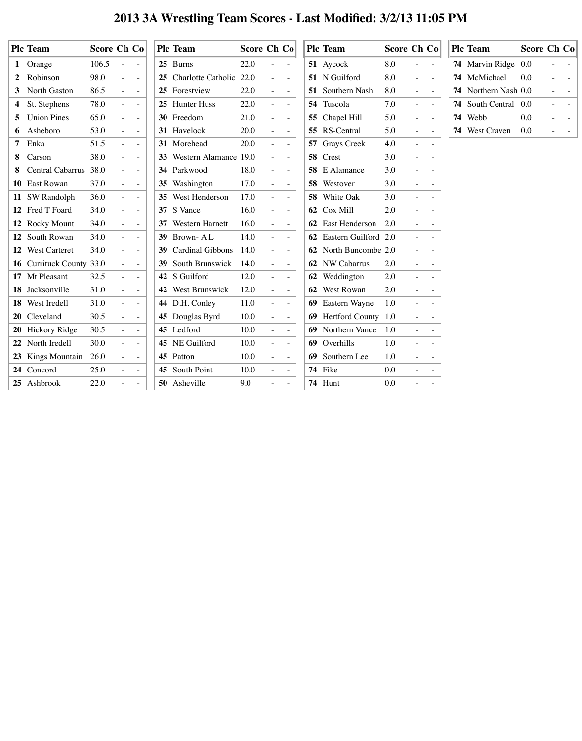## **2013 3A Wrestling Team Scores - Last Modified: 3/2/13 11:05 PM**

|                | <b>Plc Team</b>          | Score Ch Co |                          |                               |           | <b>Plc Team</b>          | Score Ch Co |                          |                                    | <b>Plc Team</b>                |     | Score Ch Co                               | <b>Plc Team</b>             |     | <b>Score Ch Co</b>                                                                                                                                   |
|----------------|--------------------------|-------------|--------------------------|-------------------------------|-----------|--------------------------|-------------|--------------------------|------------------------------------|--------------------------------|-----|-------------------------------------------|-----------------------------|-----|------------------------------------------------------------------------------------------------------------------------------------------------------|
|                | 1 Orange                 | 106.5       | $\sim$                   | $\equiv$                      |           | 25 Burns                 | 22.0        | $\blacksquare$           | $\sim$                             | 51 Aycock                      | 8.0 | $\equiv$<br>$\sim$                        | <b>74</b> Marvin Ridge 0.0  |     | $\sim$                                                                                                                                               |
| $\overline{2}$ | Robinson                 | 98.0        | $\blacksquare$           | $\sim$                        |           | 25 Charlotte Catholic    | 22.0        | $\equiv$                 | $\sim$                             | 51 N Guilford                  | 8.0 | $\sim$ .<br>$\sim$                        | 74 McMichael                | 0.0 | $\sim$                                                                                                                                               |
| $3^{\circ}$    | <b>North Gaston</b>      | 86.5        | $\sim$                   | $\sim$                        |           | 25 Forestview            | 22.0        | $\blacksquare$           | $\sim$                             | <b>51</b> Southern Nash        | 8.0 | $\frac{1}{2}$<br>$\sim$                   | <b>74</b> Northern Nash 0.0 |     | $\frac{1}{2}$ , $\frac{1}{2}$ , $\frac{1}{2}$ , $\frac{1}{2}$ , $\frac{1}{2}$                                                                        |
|                | 4 St. Stephens           | 78.0        | ÷.                       | $\sim$                        |           | 25 Hunter Huss           | 22.0        | $\bar{\phantom{a}}$      | $\overline{\phantom{a}}$           | 54 Tuscola                     | 7.0 | $\sim$<br>$\sim$                          | <b>74</b> South Central 0.0 |     | $\equiv$ .                                                                                                                                           |
| 5 <sup>5</sup> | <b>Union Pines</b>       | 65.0        | $\sim$                   | $\sim$                        |           | 30 Freedom               | 21.0        | $\bar{\phantom{a}}$      | $\sim$                             | 55 Chapel Hill                 | 5.0 | $\sim$ $-$<br>$\sim$                      | 74 Webb                     | 0.0 | $\frac{1}{2} \left( \frac{1}{2} \right) \left( \frac{1}{2} \right) \left( \frac{1}{2} \right) \left( \frac{1}{2} \right) \left( \frac{1}{2} \right)$ |
|                | <b>6</b> Asheboro        | 53.0        | $\blacksquare$           | $\sim$                        |           | 31 Havelock              | 20.0        | $\bar{\phantom{a}}$      | $\sim$                             | 55 RS-Central                  | 5.0 | $\rightarrow$<br>$\sim$                   | <b>74</b> West Craven       | 0.0 |                                                                                                                                                      |
|                | 7 Enka                   | 51.5        | $\equiv$                 | $\sim$                        |           | 31 Morehead              | 20.0        | $\bar{\phantom{a}}$      | $\sim$                             | <b>57</b> Grays Creek          | 4.0 | $\equiv$<br>$\sim$                        |                             |     |                                                                                                                                                      |
| 8              | Carson                   | 38.0        | ÷.                       | $\sim$                        |           | 33 Western Alamance 19.0 |             | $\equiv$                 | $\equiv$                           | 58 Crest                       | 3.0 | $\equiv$<br>$\sim$                        |                             |     |                                                                                                                                                      |
| 8              | <b>Central Cabarrus</b>  | 38.0        | $\equiv$                 | $\sim$                        |           | 34 Parkwood              | 18.0        | $\sim$                   | $\sim$                             | <b>58</b> E Alamance           | 3.0 | $\sim$<br>$\sim$                          |                             |     |                                                                                                                                                      |
|                | 10 East Rowan            | 37.0        | $\sim$                   | $\sim$                        |           | 35 Washington            | 17.0        | $\overline{a}$           | $\sim$                             | 58 Westover                    | 3.0 | $\frac{1}{2}$<br>$\sim$                   |                             |     |                                                                                                                                                      |
|                | 11 SW Randolph           | 36.0        | $\sim$                   | $\sim$                        |           | 35 West Henderson        | 17.0        | $\blacksquare$           | $\overline{\phantom{a}}$           | 58 White Oak                   | 3.0 | $\equiv$<br>$\sim$                        |                             |     |                                                                                                                                                      |
|                | 12 Fred T Foard          | 34.0        | $\equiv$                 | $\overline{\phantom{a}}$      |           | 37 S Vance               | 16.0        | $\overline{a}$           | $\sim$                             | 62 Cox Mill                    | 2.0 | $\equiv$<br>$\sim$                        |                             |     |                                                                                                                                                      |
|                | 12 Rocky Mount           | 34.0        |                          | $\overline{\phantom{a}}$      |           | 37 Western Harnett       | 16.0        | $\sim$                   | $\overline{\phantom{a}}$           | 62 East Henderson              | 2.0 |                                           |                             |     |                                                                                                                                                      |
|                | 12 South Rowan           | 34.0        | $\overline{\phantom{a}}$ | $\sim$                        |           | 39 Brown-AL              | 14.0        | $\blacksquare$           | $\sim$                             | <b>62</b> Eastern Guilford 2.0 |     | $\sim$                                    |                             |     |                                                                                                                                                      |
|                | 12 West Carteret         | 34.0        | $\sim$                   | $\sim$                        | 39        | <b>Cardinal Gibbons</b>  | 14.0        | $\equiv$ .               | $\sim$                             | 62 North Buncombe 2.0          |     | $\frac{1}{2}$ and $\frac{1}{2}$<br>$\sim$ |                             |     |                                                                                                                                                      |
|                | 16 Currituck County 33.0 |             |                          | $\sim$                        | <b>39</b> | South Brunswick          | 14.0        | $\blacksquare$           | $\overline{\phantom{a}}$           | <b>62</b> NW Cabarrus          | 2.0 | $\overline{\phantom{a}}$<br>$\sim$        |                             |     |                                                                                                                                                      |
|                | 17 Mt Pleasant           | 32.5        |                          | $\sim$                        |           | 42 S Guilford            | 12.0        |                          | $\equiv$                           | 62 Weddington                  | 2.0 |                                           |                             |     |                                                                                                                                                      |
|                | 18 Jacksonville          | 31.0        | $\blacksquare$           | $\equiv$                      |           | 42 West Brunswick        | 12.0        | $\sim$                   | $\left\langle \cdot \right\rangle$ | 62 West Rowan                  | 2.0 | $\sim$<br>$\equiv$                        |                             |     |                                                                                                                                                      |
|                | 18 West Iredell          | 31.0        | $\blacksquare$           | $\equiv$                      |           | 44 D.H. Conley           | 11.0        | $\blacksquare$           | $\equiv$                           | 69 Eastern Wayne               | 1.0 | $\equiv$<br>$\sim$                        |                             |     |                                                                                                                                                      |
|                | 20 Cleveland             | 30.5        | $\blacksquare$           | $\left\langle -\right\rangle$ |           | <b>45</b> Douglas Byrd   | 10.0        | $\equiv$                 | $\rightarrow$                      | 69 Hertford County 1.0         |     | $\equiv$<br>$\overline{\phantom{a}}$      |                             |     |                                                                                                                                                      |
|                | 20 Hickory Ridge         | 30.5        | $\overline{\phantom{0}}$ | $\left\langle -\right\rangle$ |           | 45 Ledford               | 10.0        | $\overline{\phantom{a}}$ | $\equiv$                           | <b>69</b> Northern Vance       | 1.0 | $\equiv$<br>$\sim$                        |                             |     |                                                                                                                                                      |
|                | 22 North Iredell         | 30.0        | $\overline{\phantom{0}}$ | $\sim$                        |           | 45 NE Guilford           | 10.0        | $\overline{\phantom{a}}$ | $\left\langle \cdot \right\rangle$ | 69 Overhills                   | 1.0 | $\blacksquare$<br>$\sim$                  |                             |     |                                                                                                                                                      |
|                | 23 Kings Mountain        | 26.0        | $\equiv$                 | $\sim$                        |           | 45 Patton                | 10.0        | $\sim$                   | $\left\langle \cdot \right\rangle$ | 69 Southern Lee                | 1.0 | $\sim$<br>$\equiv$                        |                             |     |                                                                                                                                                      |
|                | 24 Concord               | 25.0        | $\blacksquare$           | $\equiv$                      |           | 45 South Point           | 10.0        | $\sim$                   | $\leftarrow$                       | 74 Fike                        | 0.0 | $\overline{\phantom{m}}$<br>$\sim$        |                             |     |                                                                                                                                                      |
|                | 25 Ashbrook              | 22.0        |                          | $\equiv$                      |           | 50 Asheville             | 9.0         |                          | $\equiv$                           | 74 Hunt                        | 0.0 | $\equiv$<br>$\sim$                        |                             |     |                                                                                                                                                      |